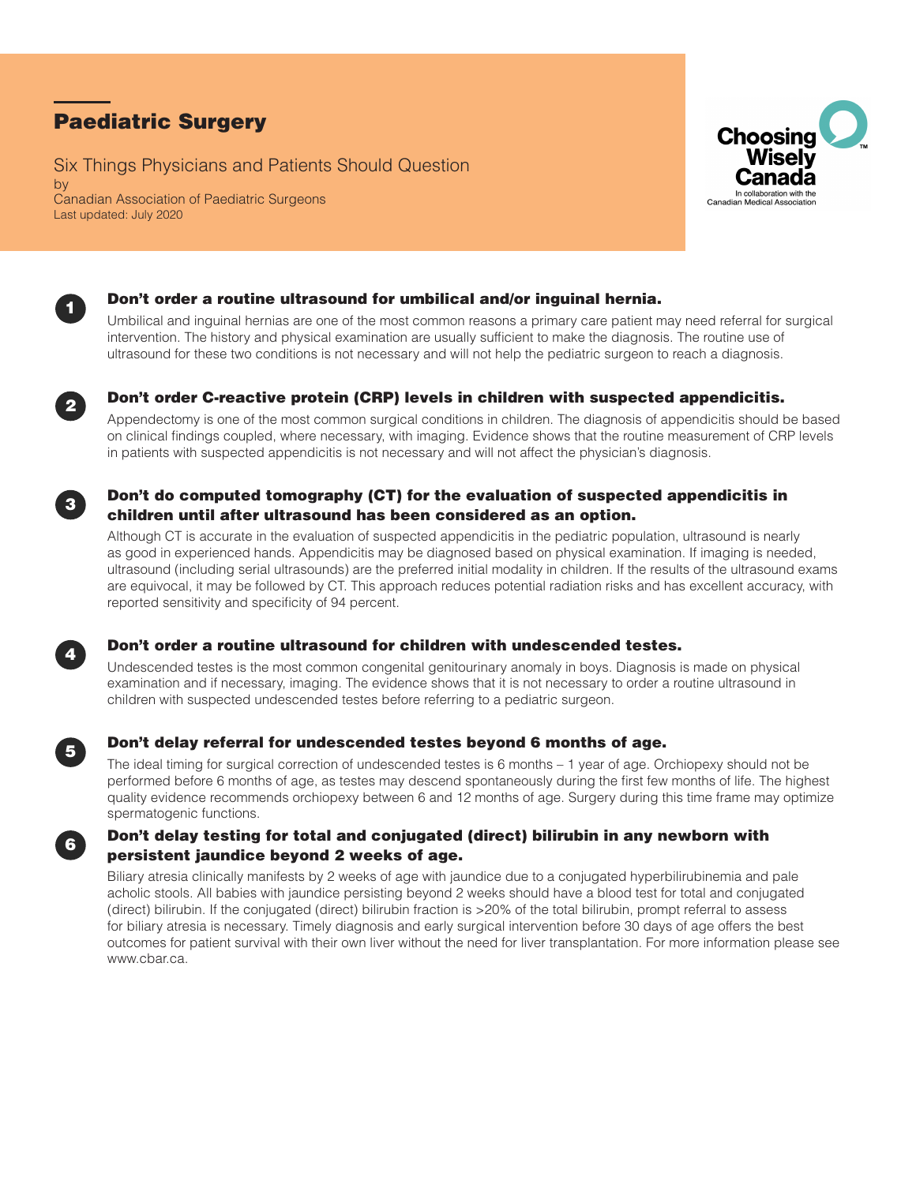# Paediatric Surgery

Six Things Physicians and Patients Should Question by Canadian Association of Paediatric Surgeons Last updated: July 2020





## <sup>1</sup> Don't order a routine ultrasound for umbilical and/or inguinal hernia.

Umbilical and inguinal hernias are one of the most common reasons a primary care patient may need referral for surgical intervention. The history and physical examination are usually sufficient to make the diagnosis. The routine use of ultrasound for these two conditions is not necessary and will not help the pediatric surgeon to reach a diagnosis.



## **2** Don't order C-reactive protein (CRP) levels in children with suspected appendicitis.

Appendectomy is one of the most common surgical conditions in children. The diagnosis of appendicitis should be based on clinical findings coupled, where necessary, with imaging. Evidence shows that the routine measurement of CRP levels in patients with suspected appendicitis is not necessary and will not affect the physician's diagnosis.

### Don't do computed tomography (CT) for the evaluation of suspected appendicitis in children until after ultrasound has been considered as an option.

Although CT is accurate in the evaluation of suspected appendicitis in the pediatric population, ultrasound is nearly as good in experienced hands. Appendicitis may be diagnosed based on physical examination. If imaging is needed, ultrasound (including serial ultrasounds) are the preferred initial modality in children. If the results of the ultrasound exams are equivocal, it may be followed by CT. This approach reduces potential radiation risks and has excellent accuracy, with reported sensitivity and specificity of 94 percent.



## **4 Don't order a routine ultrasound for children with undescended testes.**

Undescended testes is the most common congenital genitourinary anomaly in boys. Diagnosis is made on physical examination and if necessary, imaging. The evidence shows that it is not necessary to order a routine ultrasound in children with suspected undescended testes before referring to a pediatric surgeon.



## <sup>5</sup> Don't delay referral for undescended testes beyond 6 months of age.

The ideal timing for surgical correction of undescended testes is 6 months – 1 year of age. Orchiopexy should not be performed before 6 months of age, as testes may descend spontaneously during the first few months of life. The highest quality evidence recommends orchiopexy between 6 and 12 months of age. Surgery during this time frame may optimize spermatogenic functions.

### <sup>6</sup> Don't delay testing for total and conjugated (direct) bilirubin in any newborn with persistent jaundice beyond 2 weeks of age.

Biliary atresia clinically manifests by 2 weeks of age with jaundice due to a conjugated hyperbilirubinemia and pale acholic stools. All babies with jaundice persisting beyond 2 weeks should have a blood test for total and conjugated (direct) bilirubin. If the conjugated (direct) bilirubin fraction is >20% of the total bilirubin, prompt referral to assess for biliary atresia is necessary. Timely diagnosis and early surgical intervention before 30 days of age offers the best outcomes for patient survival with their own liver without the need for liver transplantation. For more information please see www.cbar.ca.